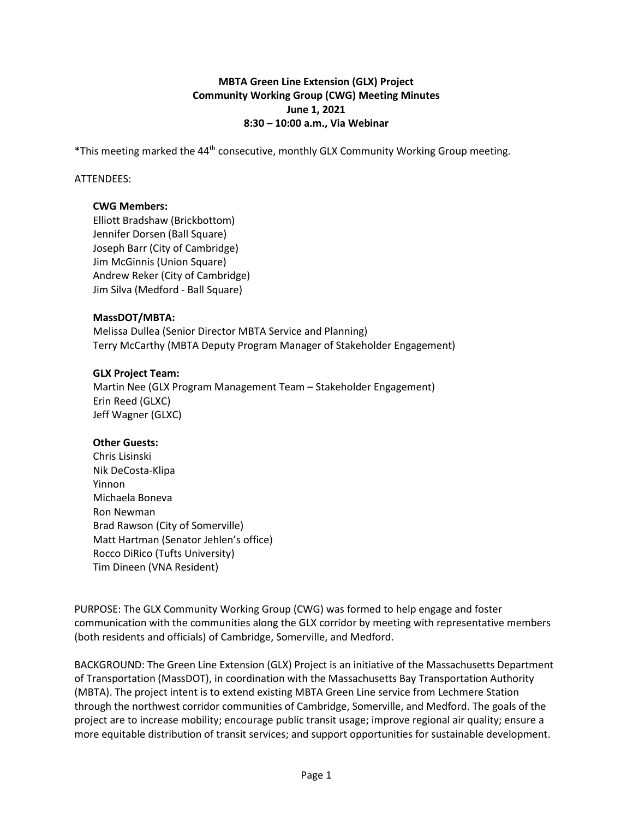## **MBTA Green Line Extension (GLX) Project Community Working Group (CWG) Meeting Minutes June 1, 2021 8:30 – 10:00 a.m., Via Webinar**

\*This meeting marked the 44th consecutive, monthly GLX Community Working Group meeting.

### ATTENDEES:

### **CWG Members:**

Elliott Bradshaw (Brickbottom) Jennifer Dorsen (Ball Square) Joseph Barr (City of Cambridge) Jim McGinnis (Union Square) Andrew Reker (City of Cambridge) Jim Silva (Medford - Ball Square)

## **MassDOT/MBTA:**

Melissa Dullea (Senior Director MBTA Service and Planning) Terry McCarthy (MBTA Deputy Program Manager of Stakeholder Engagement)

### **GLX Project Team:**

Martin Nee (GLX Program Management Team – Stakeholder Engagement) Erin Reed (GLXC) Jeff Wagner (GLXC)

# **Other Guests:**

Chris Lisinski Nik DeCosta-Klipa Yinnon Michaela Boneva Ron Newman Brad Rawson (City of Somerville) Matt Hartman (Senator Jehlen's office) Rocco DiRico (Tufts University) Tim Dineen (VNA Resident)

PURPOSE: The GLX Community Working Group (CWG) was formed to help engage and foster communication with the communities along the GLX corridor by meeting with representative members (both residents and officials) of Cambridge, Somerville, and Medford.

BACKGROUND: The Green Line Extension (GLX) Project is an initiative of the Massachusetts Department of Transportation (MassDOT), in coordination with the Massachusetts Bay Transportation Authority (MBTA). The project intent is to extend existing MBTA Green Line service from Lechmere Station through the northwest corridor communities of Cambridge, Somerville, and Medford. The goals of the project are to increase mobility; encourage public transit usage; improve regional air quality; ensure a more equitable distribution of transit services; and support opportunities for sustainable development.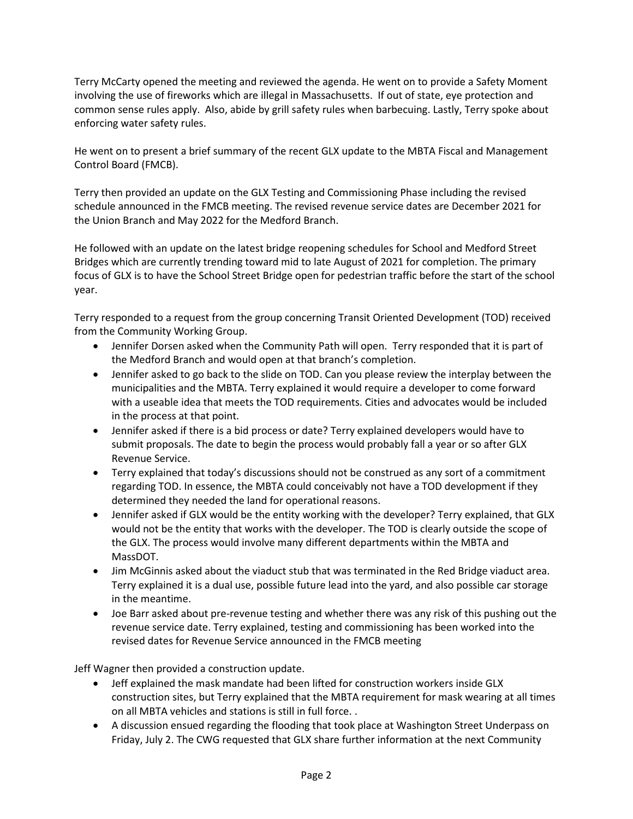Terry McCarty opened the meeting and reviewed the agenda. He went on to provide a Safety Moment involving the use of fireworks which are illegal in Massachusetts. If out of state, eye protection and common sense rules apply. Also, abide by grill safety rules when barbecuing. Lastly, Terry spoke about enforcing water safety rules.

He went on to present a brief summary of the recent GLX update to the MBTA Fiscal and Management Control Board (FMCB).

Terry then provided an update on the GLX Testing and Commissioning Phase including the revised schedule announced in the FMCB meeting. The revised revenue service dates are December 2021 for the Union Branch and May 2022 for the Medford Branch.

He followed with an update on the latest bridge reopening schedules for School and Medford Street Bridges which are currently trending toward mid to late August of 2021 for completion. The primary focus of GLX is to have the School Street Bridge open for pedestrian traffic before the start of the school year.

Terry responded to a request from the group concerning Transit Oriented Development (TOD) received from the Community Working Group.

- Jennifer Dorsen asked when the Community Path will open. Terry responded that it is part of the Medford Branch and would open at that branch's completion.
- Jennifer asked to go back to the slide on TOD. Can you please review the interplay between the municipalities and the MBTA. Terry explained it would require a developer to come forward with a useable idea that meets the TOD requirements. Cities and advocates would be included in the process at that point.
- Jennifer asked if there is a bid process or date? Terry explained developers would have to submit proposals. The date to begin the process would probably fall a year or so after GLX Revenue Service.
- Terry explained that today's discussions should not be construed as any sort of a commitment regarding TOD. In essence, the MBTA could conceivably not have a TOD development if they determined they needed the land for operational reasons.
- Jennifer asked if GLX would be the entity working with the developer? Terry explained, that GLX would not be the entity that works with the developer. The TOD is clearly outside the scope of the GLX. The process would involve many different departments within the MBTA and MassDOT.
- Jim McGinnis asked about the viaduct stub that was terminated in the Red Bridge viaduct area. Terry explained it is a dual use, possible future lead into the yard, and also possible car storage in the meantime.
- Joe Barr asked about pre-revenue testing and whether there was any risk of this pushing out the revenue service date. Terry explained, testing and commissioning has been worked into the revised dates for Revenue Service announced in the FMCB meeting

Jeff Wagner then provided a construction update.

- Jeff explained the mask mandate had been lifted for construction workers inside GLX construction sites, but Terry explained that the MBTA requirement for mask wearing at all times on all MBTA vehicles and stations is still in full force. .
- A discussion ensued regarding the flooding that took place at Washington Street Underpass on Friday, July 2. The CWG requested that GLX share further information at the next Community